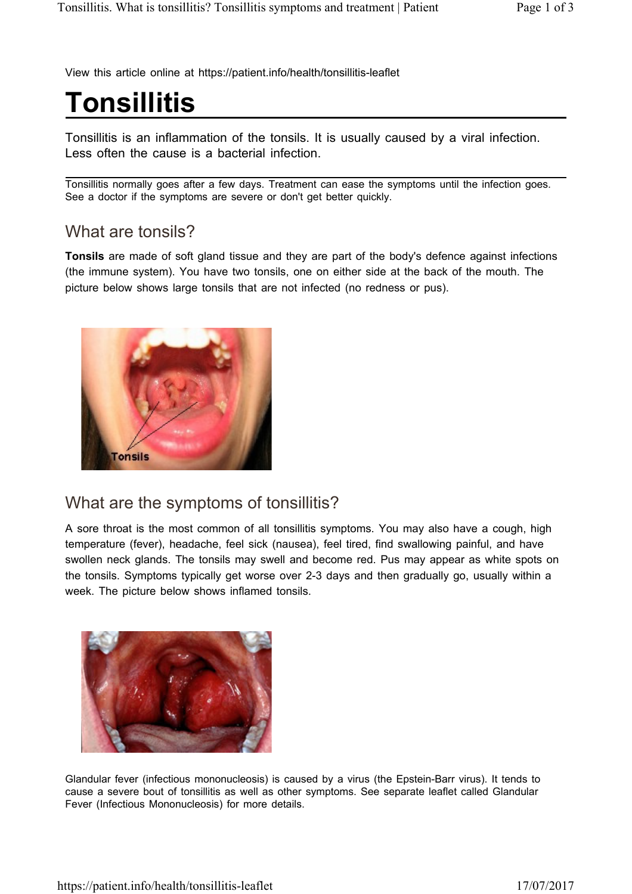View this article online at https://patient.info/health/tonsillitis-leaflet

# **Tonsillitis**

Tonsillitis is an inflammation of the tonsils. It is usually caused by a viral infection. Less often the cause is a bacterial infection.

Tonsillitis normally goes after a few days. Treatment can ease the symptoms until the infection goes. See a doctor if the symptoms are severe or don't get better quickly.

#### What are tonsils?

**Tonsils** are made of soft gland tissue and they are part of the body's defence against infections (the immune system). You have two tonsils, one on either side at the back of the mouth. The picture below shows large tonsils that are not infected (no redness or pus).



#### What are the symptoms of tonsillitis?

A sore throat is the most common of all tonsillitis symptoms. You may also have a cough, high temperature (fever), headache, feel sick (nausea), feel tired, find swallowing painful, and have swollen neck glands. The tonsils may swell and become red. Pus may appear as white spots on the tonsils. Symptoms typically get worse over 2-3 days and then gradually go, usually within a week. The picture below shows inflamed tonsils.



Glandular fever (infectious mononucleosis) is caused by a virus (the Epstein-Barr virus). It tends to cause a severe bout of tonsillitis as well as other symptoms. See separate leaflet called Glandular Fever (Infectious Mononucleosis) for more details.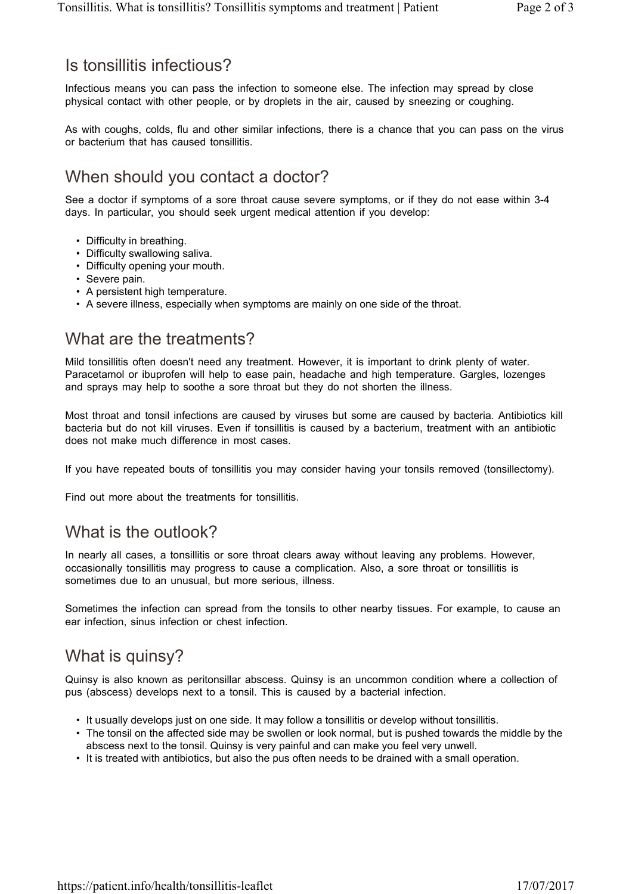### Is tonsillitis infectious?

Infectious means you can pass the infection to someone else. The infection may spread by close physical contact with other people, or by droplets in the air, caused by sneezing or coughing.

As with coughs, colds, flu and other similar infections, there is a chance that you can pass on the virus or bacterium that has caused tonsillitis.

# When should you contact a doctor?

See a doctor if symptoms of a sore throat cause severe symptoms, or if they do not ease within 3-4 days. In particular, you should seek urgent medical attention if you develop:

- Difficulty in breathing.
- Difficulty swallowing saliva.
- Difficulty opening your mouth.
- Severe pain.
- A persistent high temperature.
- A severe illness, especially when symptoms are mainly on one side of the throat.

## What are the treatments?

Mild tonsillitis often doesn't need any treatment. However, it is important to drink plenty of water. Paracetamol or ibuprofen will help to ease pain, headache and high temperature. Gargles, lozenges and sprays may help to soothe a sore throat but they do not shorten the illness.

Most throat and tonsil infections are caused by viruses but some are caused by bacteria. Antibiotics kill bacteria but do not kill viruses. Even if tonsillitis is caused by a bacterium, treatment with an antibiotic does not make much difference in most cases.

If you have repeated bouts of tonsillitis you may consider having your tonsils removed (tonsillectomy).

Find out more about the treatments for tonsillitis.

## What is the outlook?

In nearly all cases, a tonsillitis or sore throat clears away without leaving any problems. However, occasionally tonsillitis may progress to cause a complication. Also, a sore throat or tonsillitis is sometimes due to an unusual, but more serious, illness.

Sometimes the infection can spread from the tonsils to other nearby tissues. For example, to cause an ear infection, sinus infection or chest infection.

## What is quinsy?

Quinsy is also known as peritonsillar abscess. Quinsy is an uncommon condition where a collection of pus (abscess) develops next to a tonsil. This is caused by a bacterial infection.

- It usually develops just on one side. It may follow a tonsillitis or develop without tonsillitis.
- The tonsil on the affected side may be swollen or look normal, but is pushed towards the middle by the abscess next to the tonsil. Quinsy is very painful and can make you feel very unwell.
- It is treated with antibiotics, but also the pus often needs to be drained with a small operation.